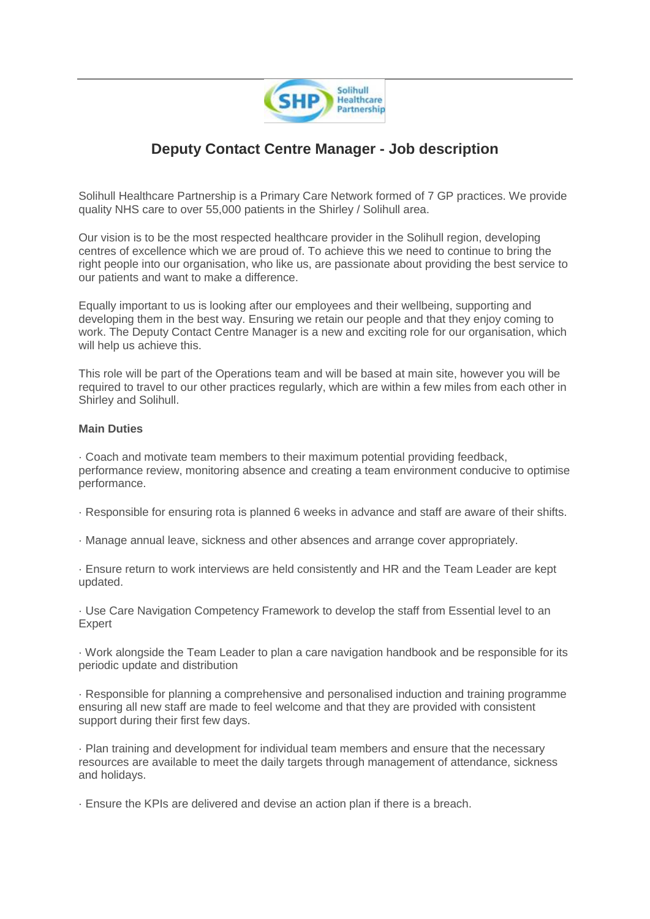

## **Deputy Contact Centre Manager - Job description**

Solihull Healthcare Partnership is a Primary Care Network formed of 7 GP practices. We provide quality NHS care to over 55,000 patients in the Shirley / Solihull area.

Our vision is to be the most respected healthcare provider in the Solihull region, developing centres of excellence which we are proud of. To achieve this we need to continue to bring the right people into our organisation, who like us, are passionate about providing the best service to our patients and want to make a difference.

Equally important to us is looking after our employees and their wellbeing, supporting and developing them in the best way. Ensuring we retain our people and that they enjoy coming to work. The Deputy Contact Centre Manager is a new and exciting role for our organisation, which will help us achieve this.

This role will be part of the Operations team and will be based at main site, however you will be required to travel to our other practices regularly, which are within a few miles from each other in Shirley and Solihull.

## **Main Duties**

· Coach and motivate team members to their maximum potential providing feedback, performance review, monitoring absence and creating a team environment conducive to optimise performance.

- · Responsible for ensuring rota is planned 6 weeks in advance and staff are aware of their shifts.
- · Manage annual leave, sickness and other absences and arrange cover appropriately.

· Ensure return to work interviews are held consistently and HR and the Team Leader are kept updated.

· Use Care Navigation Competency Framework to develop the staff from Essential level to an Expert

· Work alongside the Team Leader to plan a care navigation handbook and be responsible for its periodic update and distribution

· Responsible for planning a comprehensive and personalised induction and training programme ensuring all new staff are made to feel welcome and that they are provided with consistent support during their first few days.

· Plan training and development for individual team members and ensure that the necessary resources are available to meet the daily targets through management of attendance, sickness and holidays.

· Ensure the KPIs are delivered and devise an action plan if there is a breach.